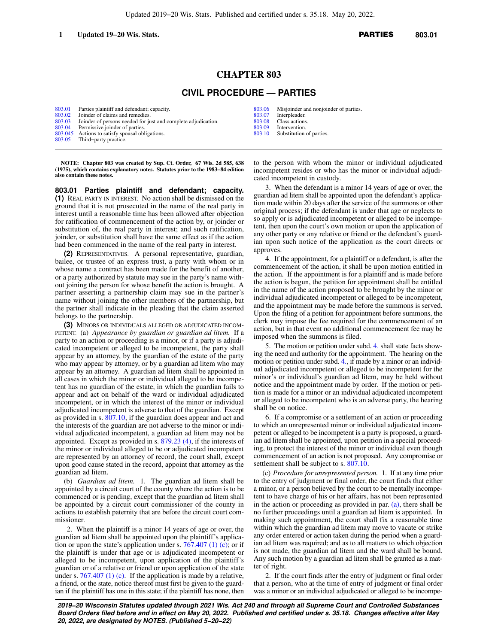# **CHAPTER 803**

## **CIVIL PROCEDURE — PARTIES**

[803.01](https://docs-preview.legis.wisconsin.gov/document/statutes/803.01) Parties plaintiff and defendant; capacity.<br>803.02 Ioinder of claims and remedies

- [803.02](https://docs-preview.legis.wisconsin.gov/document/statutes/803.02) Joinder of claims and remedies<br>803.03 Ioinder of persons needed for i
- [803.03](https://docs-preview.legis.wisconsin.gov/document/statutes/803.03) Joinder of persons needed for just and complete adjudication.<br>803.04 Permissive ioinder of parties.
- [803.04](https://docs-preview.legis.wisconsin.gov/document/statutes/803.04) Permissive joinder of parties<br>803.045 Actions to satisfy spousal ob
- [803.045](https://docs-preview.legis.wisconsin.gov/document/statutes/803.045) Actions to satisfy spousal obligations.<br>803.05 Third-party practice.
- 
- [803.06](https://docs-preview.legis.wisconsin.gov/document/statutes/803.06) Misjoinder and nonjoinder of parties<br>803.07 Interpleader
- [803.07](https://docs-preview.legis.wisconsin.gov/document/statutes/803.07) Interpleader.<br>803.08 Class actions
- [803.08](https://docs-preview.legis.wisconsin.gov/document/statutes/803.08) Class actions.<br>803.09 Intervention.
- 

Third-party practice.

[803.09](https://docs-preview.legis.wisconsin.gov/document/statutes/803.09) Intervention.<br>803.10 Substitution Substitution of parties.

**NOTE: Chapter 803 was created by Sup. Ct. Order, 67 Wis. 2d 585, 638 (1975), which contains explanatory notes. Statutes prior to the 1983−84 edition also contain these notes.**

**803.01 Parties plaintiff and defendant; capacity. (1)** REAL PARTY IN INTEREST. No action shall be dismissed on the ground that it is not prosecuted in the name of the real party in interest until a reasonable time has been allowed after objection for ratification of commencement of the action by, or joinder or substitution of, the real party in interest; and such ratification, joinder, or substitution shall have the same effect as if the action had been commenced in the name of the real party in interest.

**(2)** REPRESENTATIVES. A personal representative, guardian, bailee, or trustee of an express trust, a party with whom or in whose name a contract has been made for the benefit of another, or a party authorized by statute may sue in the party's name without joining the person for whose benefit the action is brought. A partner asserting a partnership claim may sue in the partner's name without joining the other members of the partnership, but the partner shall indicate in the pleading that the claim asserted belongs to the partnership.

**(3)** MINORS OR INDIVIDUALS ALLEGED OR ADJUDICATED INCOM-PETENT. (a) *Appearance by guardian or guardian ad litem.* If a party to an action or proceeding is a minor, or if a party is adjudicated incompetent or alleged to be incompetent, the party shall appear by an attorney, by the guardian of the estate of the party who may appear by attorney, or by a guardian ad litem who may appear by an attorney. A guardian ad litem shall be appointed in all cases in which the minor or individual alleged to be incompetent has no guardian of the estate, in which the guardian fails to appear and act on behalf of the ward or individual adjudicated incompetent, or in which the interest of the minor or individual adjudicated incompetent is adverse to that of the guardian. Except as provided in s. [807.10](https://docs-preview.legis.wisconsin.gov/document/statutes/807.10), if the guardian does appear and act and the interests of the guardian are not adverse to the minor or individual adjudicated incompetent, a guardian ad litem may not be appointed. Except as provided in s. [879.23 \(4\)](https://docs-preview.legis.wisconsin.gov/document/statutes/879.23(4)), if the interests of the minor or individual alleged to be or adjudicated incompetent are represented by an attorney of record, the court shall, except upon good cause stated in the record, appoint that attorney as the guardian ad litem.

(b) *Guardian ad litem.* 1. The guardian ad litem shall be appointed by a circuit court of the county where the action is to be commenced or is pending, except that the guardian ad litem shall be appointed by a circuit court commissioner of the county in actions to establish paternity that are before the circuit court commissioner.

2. When the plaintiff is a minor 14 years of age or over, the guardian ad litem shall be appointed upon the plaintiff's application or upon the state's application under s.  $767.407$  (1) (c); or if the plaintiff is under that age or is adjudicated incompetent or alleged to be incompetent, upon application of the plaintiff's guardian or of a relative or friend or upon application of the state under s. [767.407 \(1\) \(c\).](https://docs-preview.legis.wisconsin.gov/document/statutes/767.407(1)(c)) If the application is made by a relative, a friend, or the state, notice thereof must first be given to the guardian if the plaintiff has one in this state; if the plaintiff has none, then

to the person with whom the minor or individual adjudicated incompetent resides or who has the minor or individual adjudicated incompetent in custody.

3. When the defendant is a minor 14 years of age or over, the guardian ad litem shall be appointed upon the defendant's application made within 20 days after the service of the summons or other original process; if the defendant is under that age or neglects to so apply or is adjudicated incompetent or alleged to be incompetent, then upon the court's own motion or upon the application of any other party or any relative or friend or the defendant's guardian upon such notice of the application as the court directs or approves.

4. If the appointment, for a plaintiff or a defendant, is after the commencement of the action, it shall be upon motion entitled in the action. If the appointment is for a plaintiff and is made before the action is begun, the petition for appointment shall be entitled in the name of the action proposed to be brought by the minor or individual adjudicated incompetent or alleged to be incompetent, and the appointment may be made before the summons is served. Upon the filing of a petition for appointment before summons, the clerk may impose the fee required for the commencement of an action, but in that event no additional commencement fee may be imposed when the summons is filed.

5. The motion or petition under subd. [4.](https://docs-preview.legis.wisconsin.gov/document/statutes/803.01(3)(b)4.) shall state facts showing the need and authority for the appointment. The hearing on the motion or petition under subd. [4.](https://docs-preview.legis.wisconsin.gov/document/statutes/803.01(3)(b)4.), if made by a minor or an individual adjudicated incompetent or alleged to be incompetent for the minor's or individual's guardian ad litem, may be held without notice and the appointment made by order. If the motion or petition is made for a minor or an individual adjudicated incompetent or alleged to be incompetent who is an adverse party, the hearing shall be on notice.

6. If a compromise or a settlement of an action or proceeding to which an unrepresented minor or individual adjudicated incompetent or alleged to be incompetent is a party is proposed, a guardian ad litem shall be appointed, upon petition in a special proceeding, to protect the interest of the minor or individual even though commencement of an action is not proposed. Any compromise or settlement shall be subject to s. [807.10.](https://docs-preview.legis.wisconsin.gov/document/statutes/807.10)

(c) *Procedure for unrepresented person.* 1. If at any time prior to the entry of judgment or final order, the court finds that either a minor, or a person believed by the court to be mentally incompetent to have charge of his or her affairs, has not been represented in the action or proceeding as provided in par.  $(a)$ , there shall be no further proceedings until a guardian ad litem is appointed. In making such appointment, the court shall fix a reasonable time within which the guardian ad litem may move to vacate or strike any order entered or action taken during the period when a guardian ad litem was required; and as to all matters to which objection is not made, the guardian ad litem and the ward shall be bound. Any such motion by a guardian ad litem shall be granted as a matter of right.

2. If the court finds after the entry of judgment or final order that a person, who at the time of entry of judgment or final order was a minor or an individual adjudicated or alleged to be incompe-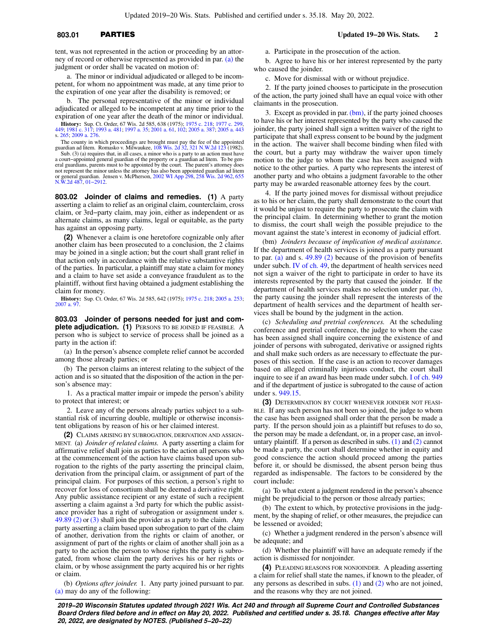tent, was not represented in the action or proceeding by an attorney of record or otherwise represented as provided in par. [\(a\)](https://docs-preview.legis.wisconsin.gov/document/statutes/803.01(3)(a)) the judgment or order shall be vacated on motion of:

a. The minor or individual adjudicated or alleged to be incompetent, for whom no appointment was made, at any time prior to the expiration of one year after the disability is removed; or

b. The personal representative of the minor or individual adjudicated or alleged to be incompetent at any time prior to the expiration of one year after the death of the minor or individual.

**History:** Sup. Ct. Order, 67 Wis. 2d 585, 638 (1975); [1975 c. 218;](https://docs-preview.legis.wisconsin.gov/document/acts/1975/218) [1977 c. 299](https://docs-preview.legis.wisconsin.gov/document/acts/1977/299), [449](https://docs-preview.legis.wisconsin.gov/document/acts/1977/449); [1981 c. 317](https://docs-preview.legis.wisconsin.gov/document/acts/1981/317); [1993 a. 481;](https://docs-preview.legis.wisconsin.gov/document/acts/1993/481) [1997 a. 35](https://docs-preview.legis.wisconsin.gov/document/acts/1997/35); [2001 a. 61,](https://docs-preview.legis.wisconsin.gov/document/acts/2001/61) [102](https://docs-preview.legis.wisconsin.gov/document/acts/2001/102); [2005 a. 387](https://docs-preview.legis.wisconsin.gov/document/acts/2005/387); [2005 a. 443](https://docs-preview.legis.wisconsin.gov/document/acts/2005/443) s. [265;](https://docs-preview.legis.wisconsin.gov/document/acts/2005/443,%20s.%20265) [2009 a. 276](https://docs-preview.legis.wisconsin.gov/document/acts/2009/276).

The county in which proceedings are brought must pay the fee of the appointed guardian ad litem. Romasko v. Milwaukee, [108 Wis. 2d 32,](https://docs-preview.legis.wisconsin.gov/document/courts/108%20Wis.%202d%2032) [321 N.W.2d 123](https://docs-preview.legis.wisconsin.gov/document/courts/321%20N.W.2d%20123) (1982). Sub. (3) (a) requires that, in all cases, a minor who is a party to an action must have a court−appointed general guardian of the property or a guardian ad litem. To be general guardians, parents must to be appointed by the court. The parent's attorney does not represent the minor unless the attorney has also been appointed guardian ad litem or general guardian. Jensen v. McPherson, [2002 WI App 298,](https://docs-preview.legis.wisconsin.gov/document/courts/2002%20WI%20App%20298) [258 Wis. 2d 962](https://docs-preview.legis.wisconsin.gov/document/courts/258%20Wis.%202d%20962), [655](https://docs-preview.legis.wisconsin.gov/document/courts/655%20N.W.2d%20487) [N.W.2d 487,](https://docs-preview.legis.wisconsin.gov/document/courts/655%20N.W.2d%20487) [01−2912.](https://docs-preview.legis.wisconsin.gov/document/wicourtofappeals/01-2912)

**803.02 Joinder of claims and remedies. (1)** A party asserting a claim to relief as an original claim, counterclaim, cross claim, or 3rd−party claim, may join, either as independent or as alternate claims, as many claims, legal or equitable, as the party has against an opposing party.

**(2)** Whenever a claim is one heretofore cognizable only after another claim has been prosecuted to a conclusion, the 2 claims may be joined in a single action; but the court shall grant relief in that action only in accordance with the relative substantive rights of the parties. In particular, a plaintiff may state a claim for money and a claim to have set aside a conveyance fraudulent as to the plaintiff, without first having obtained a judgment establishing the claim for money.

**History:** Sup. Ct. Order, 67 Wis. 2d 585, 642 (1975); [1975 c. 218](https://docs-preview.legis.wisconsin.gov/document/acts/1975/218); [2005 a. 253](https://docs-preview.legis.wisconsin.gov/document/acts/2005/253);  $2007$  a. 9

**803.03 Joinder of persons needed for just and complete adjudication. (1)** PERSONS TO BE JOINED IF FEASIBLE. A person who is subject to service of process shall be joined as a party in the action if:

(a) In the person's absence complete relief cannot be accorded among those already parties; or

(b) The person claims an interest relating to the subject of the action and is so situated that the disposition of the action in the person's absence may:

1. As a practical matter impair or impede the person's ability to protect that interest; or

2. Leave any of the persons already parties subject to a substantial risk of incurring double, multiple or otherwise inconsistent obligations by reason of his or her claimed interest.

**(2)** CLAIMS ARISING BY SUBROGATION, DERIVATION AND ASSIGN-MENT. (a) *Joinder of related claims.* A party asserting a claim for affirmative relief shall join as parties to the action all persons who at the commencement of the action have claims based upon subrogation to the rights of the party asserting the principal claim, derivation from the principal claim, or assignment of part of the principal claim. For purposes of this section, a person's right to recover for loss of consortium shall be deemed a derivative right. Any public assistance recipient or any estate of such a recipient asserting a claim against a 3rd party for which the public assistance provider has a right of subrogation or assignment under s. [49.89 \(2\)](https://docs-preview.legis.wisconsin.gov/document/statutes/49.89(2)) or [\(3\)](https://docs-preview.legis.wisconsin.gov/document/statutes/49.89(3)) shall join the provider as a party to the claim. Any party asserting a claim based upon subrogation to part of the claim of another, derivation from the rights or claim of another, or assignment of part of the rights or claim of another shall join as a party to the action the person to whose rights the party is subrogated, from whose claim the party derives his or her rights or claim, or by whose assignment the party acquired his or her rights or claim.

(b) *Options after joinder.* 1. Any party joined pursuant to par. [\(a\)](https://docs-preview.legis.wisconsin.gov/document/statutes/803.03(2)(a)) may do any of the following:

 **803.01** PARTIES **Updated 19−20 Wis. Stats. 2**

a. Participate in the prosecution of the action.

b. Agree to have his or her interest represented by the party who caused the joinder.

c. Move for dismissal with or without prejudice.

2. If the party joined chooses to participate in the prosecution of the action, the party joined shall have an equal voice with other claimants in the prosecution.

3. Except as provided in par. [\(bm\)](https://docs-preview.legis.wisconsin.gov/document/statutes/803.03(2)(bm)), if the party joined chooses to have his or her interest represented by the party who caused the joinder, the party joined shall sign a written waiver of the right to participate that shall express consent to be bound by the judgment in the action. The waiver shall become binding when filed with the court, but a party may withdraw the waiver upon timely motion to the judge to whom the case has been assigned with notice to the other parties. A party who represents the interest of another party and who obtains a judgment favorable to the other party may be awarded reasonable attorney fees by the court.

4. If the party joined moves for dismissal without prejudice as to his or her claim, the party shall demonstrate to the court that it would be unjust to require the party to prosecute the claim with the principal claim. In determining whether to grant the motion to dismiss, the court shall weigh the possible prejudice to the movant against the state's interest in economy of judicial effort.

(bm) *Joinders because of implication of medical assistance.* If the department of health services is joined as a party pursuant to par. [\(a\)](https://docs-preview.legis.wisconsin.gov/document/statutes/803.03(2)(a)) and s. [49.89 \(2\)](https://docs-preview.legis.wisconsin.gov/document/statutes/49.89(2)) because of the provision of benefits under subch. [IV of ch. 49,](https://docs-preview.legis.wisconsin.gov/document/statutes/subch.%20IV%20of%20ch.%2049) the department of health services need not sign a waiver of the right to participate in order to have its interests represented by the party that caused the joinder. If the department of health services makes no selection under par. [\(b\),](https://docs-preview.legis.wisconsin.gov/document/statutes/803.03(2)(b)) the party causing the joinder shall represent the interests of the department of health services and the department of health services shall be bound by the judgment in the action.

(c) *Scheduling and pretrial conferences.* At the scheduling conference and pretrial conference, the judge to whom the case has been assigned shall inquire concerning the existence of and joinder of persons with subrogated, derivative or assigned rights and shall make such orders as are necessary to effectuate the purposes of this section. If the case is an action to recover damages based on alleged criminally injurious conduct, the court shall inquire to see if an award has been made under subch. [I of ch. 949](https://docs-preview.legis.wisconsin.gov/document/statutes/subch.%20I%20of%20ch.%20949) and if the department of justice is subrogated to the cause of action under s. [949.15.](https://docs-preview.legis.wisconsin.gov/document/statutes/949.15)

**(3)** DETERMINATION BY COURT WHENEVER JOINDER NOT FEASI-BLE. If any such person has not been so joined, the judge to whom the case has been assigned shall order that the person be made a party. If the person should join as a plaintiff but refuses to do so, the person may be made a defendant, or, in a proper case, an involuntary plaintiff. If a person as described in subs.  $(1)$  and  $(2)$  cannot be made a party, the court shall determine whether in equity and good conscience the action should proceed among the parties before it, or should be dismissed, the absent person being thus regarded as indispensable. The factors to be considered by the court include:

(a) To what extent a judgment rendered in the person's absence might be prejudicial to the person or those already parties;

(b) The extent to which, by protective provisions in the judgment, by the shaping of relief, or other measures, the prejudice can be lessened or avoided;

(c) Whether a judgment rendered in the person's absence will be adequate; and

(d) Whether the plaintiff will have an adequate remedy if the action is dismissed for nonjoinder.

**(4)** PLEADING REASONS FOR NONJOINDER. A pleading asserting a claim for relief shall state the names, if known to the pleader, of any persons as described in subs. [\(1\)](https://docs-preview.legis.wisconsin.gov/document/statutes/803.03(1)) and [\(2\)](https://docs-preview.legis.wisconsin.gov/document/statutes/803.03(2)) who are not joined, and the reasons why they are not joined.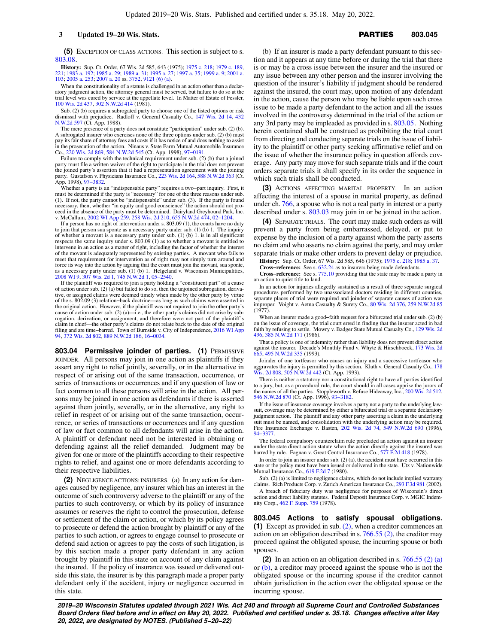## **3 Updated 19−20 Wis. Stats.** PARTIES **803.045**

**(5)** EXCEPTION OF CLASS ACTIONS. This section is subject to s. [803.08.](https://docs-preview.legis.wisconsin.gov/document/statutes/803.08)

**History:** Sup. Ct. Order, 67 Wis. 2d 585, 643 (1975); [1975 c. 218;](https://docs-preview.legis.wisconsin.gov/document/acts/1975/218) [1979 c. 189](https://docs-preview.legis.wisconsin.gov/document/acts/1979/189), [221](https://docs-preview.legis.wisconsin.gov/document/acts/1979/221); [1983 a. 192;](https://docs-preview.legis.wisconsin.gov/document/acts/1983/192) [1985 a. 29;](https://docs-preview.legis.wisconsin.gov/document/acts/1985/29) [1989 a. 31;](https://docs-preview.legis.wisconsin.gov/document/acts/1989/31) [1995 a. 27;](https://docs-preview.legis.wisconsin.gov/document/acts/1995/27) [1997 a. 35](https://docs-preview.legis.wisconsin.gov/document/acts/1997/35); [1999 a. 9;](https://docs-preview.legis.wisconsin.gov/document/acts/1999/9) [2001 a.](https://docs-preview.legis.wisconsin.gov/document/acts/2001/103) [103](https://docs-preview.legis.wisconsin.gov/document/acts/2001/103); [2005 a. 253;](https://docs-preview.legis.wisconsin.gov/document/acts/2005/253) [2007 a. 20](https://docs-preview.legis.wisconsin.gov/document/acts/2007/20) ss. [3752,](https://docs-preview.legis.wisconsin.gov/document/acts/2007/20,%20s.%203752) [9121 \(6\) \(a\).](https://docs-preview.legis.wisconsin.gov/document/acts/2007/20,%20s.%209121)

When the constitutionality of a statute is challenged in an action other than a declaratory judgment action, the attorney general must be served, but failure to do so at the trial level was cured by service at the appellate level. In Matter of Estate of Fessler, [100 Wis. 2d 437,](https://docs-preview.legis.wisconsin.gov/document/courts/100%20Wis.%202d%20437) [302 N.W.2d 414](https://docs-preview.legis.wisconsin.gov/document/courts/302%20N.W.2d%20414) (1981).

Sub. (2) (b) requires a subrogated party to choose one of the listed options or risk dismissal with prejudice. Radloff v. General Casualty Co., [147 Wis. 2d 14](https://docs-preview.legis.wisconsin.gov/document/courts/147%20Wis.%202d%2014), [432](https://docs-preview.legis.wisconsin.gov/document/courts/432%20N.W.2d%20597) [N.W.2d 597](https://docs-preview.legis.wisconsin.gov/document/courts/432%20N.W.2d%20597) (Ct. App. 1988).

The mere presence of a party does not constitute "participation" under sub. (2) (b). A subrogated insurer who exercises none of the three options under sub. (2) (b) must pay its fair share of attorney fees and costs if it has notice of and does nothing to assist<br>in the prosecution of the action. Ninaus v. State Farm Mutual Automobile Insurance<br>Co., [220 Wis. 2d 869](https://docs-preview.legis.wisconsin.gov/document/courts/220%20Wis.%202d%20869), [584 N.W.2d 545](https://docs-preview.legis.wisconsin.gov/document/courts/584%20N.W.2d%20545) (Ct. App.

Failure to comply with the technical requirement under sub. (2) (b) that a joined party must file a written waiver of the right to participate in the trial does not prevent the joined party's assertion that it had a representation agreement with the joining party. Gustafson v. Physicians Insurance Co., [223 Wis. 2d 164,](https://docs-preview.legis.wisconsin.gov/document/courts/223%20Wis.%202d%20164) [588 N.W.2d 363](https://docs-preview.legis.wisconsin.gov/document/courts/588%20N.W.2d%20363) (Ct. App. 1998), [97−3832.](https://docs-preview.legis.wisconsin.gov/document/wicourtofappeals/97-3832)

Whether a party is an "indispensable party" requires a two-part inquiry. First, it must be determined if the party is "necessary" for one of the three reasons under sub. (1). If not, the party cannot be "indispensable" und necessary, then, whether "in equity and good conscience" the action should not proceed in the absence of the party must be determined. Dairyland Greyhound Park, Inc. v. McCallum, [2002 WI App 259,](https://docs-preview.legis.wisconsin.gov/document/courts/2002%20WI%20App%20259) [258 Wis. 2d 210](https://docs-preview.legis.wisconsin.gov/document/courts/258%20Wis.%202d%20210), [655 N.W.2d 474,](https://docs-preview.legis.wisconsin.gov/document/courts/655%20N.W.2d%20474) [02−1204.](https://docs-preview.legis.wisconsin.gov/document/wicourtofappeals/02-1204)

If a person has no right of intervention under s. 803.09 (1), the courts have no duty to join that person sua sponte as a necessary party under sub. (1) (b) 1. The inquiry of whether a movant is a necessary party under sub. (1) (b) 1. is in all significant respects the same inquiry under s. 803.09 (1) as to whether a movant is entitled to intervene in an action as a matter of right, including the factor of whether the interest of the movant is adequately represented by existing parties. A movant who fails to meet that requirement for intervention as of right may not simply turn around and force its way into the action by arguing that the court must join the movant, sua sponte, as a necessary party under sub. (1) (b) 1. Helgeland v. Wisconsin Municipalities, [2008 WI 9,](https://docs-preview.legis.wisconsin.gov/document/courts/2008%20WI%209) [307 Wis. 2d 1](https://docs-preview.legis.wisconsin.gov/document/courts/307%20Wis.%202d%201), [745 N.W.2d 1,](https://docs-preview.legis.wisconsin.gov/document/courts/745%20N.W.2d%201) [05−2540](https://docs-preview.legis.wisconsin.gov/document/wisupremecourt/05-2540).

If the plaintiff was required to join a party holding a "constituent part" of a cause of action under sub. (2) (a) but failed to do so, then the unjoined subrogation, derivative, or assigned claims were deemed timely when made by the other party by virtue of the s. 802.09 (3) relation−back doctrine—as long as such claims were asserted in the original action. However, if the plaintiff was not required to join the other party's cause of action under sub. (2) (a)—i.e., the other party's claims did not arise by subrogation, derivation, or assignment, and therefore were not part of the plaintiff's claim in chief—the other party's claims do not relate back to the date of the original filing and are time−barred. Town of Burnside v. City of Independence, [2016 WI App](https://docs-preview.legis.wisconsin.gov/document/courts/2016%20WI%20App%2094) [94,](https://docs-preview.legis.wisconsin.gov/document/courts/2016%20WI%20App%2094) [372 Wis. 2d 802](https://docs-preview.legis.wisconsin.gov/document/courts/372%20Wis.%202d%20802), [889 N.W.2d 186](https://docs-preview.legis.wisconsin.gov/document/courts/889%20N.W.2d%20186), [16−0034](https://docs-preview.legis.wisconsin.gov/document/wicourtofappeals/16-0034).

**803.04 Permissive joinder of parties. (1) PERMISSIVE** JOINDER. All persons may join in one action as plaintiffs if they assert any right to relief jointly, severally, or in the alternative in respect of or arising out of the same transaction, occurrence, or series of transactions or occurrences and if any question of law or fact common to all these persons will arise in the action. All persons may be joined in one action as defendants if there is asserted against them jointly, severally, or in the alternative, any right to relief in respect of or arising out of the same transaction, occurrence, or series of transactions or occurrences and if any question of law or fact common to all defendants will arise in the action. A plaintiff or defendant need not be interested in obtaining or defending against all the relief demanded. Judgment may be given for one or more of the plaintiffs according to their respective rights to relief, and against one or more defendants according to their respective liabilities.

**(2)** NEGLIGENCE ACTIONS: INSURERS. (a) In any action for damages caused by negligence, any insurer which has an interest in the outcome of such controversy adverse to the plaintiff or any of the parties to such controversy, or which by its policy of insurance assumes or reserves the right to control the prosecution, defense or settlement of the claim or action, or which by its policy agrees to prosecute or defend the action brought by plaintiff or any of the parties to such action, or agrees to engage counsel to prosecute or defend said action or agrees to pay the costs of such litigation, is by this section made a proper party defendant in any action brought by plaintiff in this state on account of any claim against the insured. If the policy of insurance was issued or delivered outside this state, the insurer is by this paragraph made a proper party defendant only if the accident, injury or negligence occurred in this state.

(b) If an insurer is made a party defendant pursuant to this section and it appears at any time before or during the trial that there is or may be a cross issue between the insurer and the insured or any issue between any other person and the insurer involving the question of the insurer's liability if judgment should be rendered against the insured, the court may, upon motion of any defendant in the action, cause the person who may be liable upon such cross issue to be made a party defendant to the action and all the issues involved in the controversy determined in the trial of the action or any 3rd party may be impleaded as provided in s. [803.05](https://docs-preview.legis.wisconsin.gov/document/statutes/803.05). Nothing herein contained shall be construed as prohibiting the trial court from directing and conducting separate trials on the issue of liability to the plaintiff or other party seeking affirmative relief and on the issue of whether the insurance policy in question affords coverage. Any party may move for such separate trials and if the court orders separate trials it shall specify in its order the sequence in which such trials shall be conducted.

**(3)** ACTIONS AFFECTING MARITAL PROPERTY. In an action affecting the interest of a spouse in marital property, as defined under ch. [766](https://docs-preview.legis.wisconsin.gov/document/statutes/ch.%20766), a spouse who is not a real party in interest or a party described under s. [803.03](https://docs-preview.legis.wisconsin.gov/document/statutes/803.03) may join in or be joined in the action.

**(4)** SEPARATE TRIALS. The court may make such orders as will prevent a party from being embarrassed, delayed, or put to expense by the inclusion of a party against whom the party asserts no claim and who asserts no claim against the party, and may order separate trials or make other orders to prevent delay or prejudice.

**History:** Sup. Ct. Order, 67 Wis. 2d 585, 646 (1975); [1975 c. 218](https://docs-preview.legis.wisconsin.gov/document/acts/1975/218); [1985 a. 37.](https://docs-preview.legis.wisconsin.gov/document/acts/1985/37)

**Cross−reference:** See s. [632.24](https://docs-preview.legis.wisconsin.gov/document/statutes/632.24) as to insurers being made defendants. **Cross−reference:** See s. [775.10](https://docs-preview.legis.wisconsin.gov/document/statutes/775.10) providing that the state may be made a party in an action to quiet title to land.

In an action for injuries allegedly sustained as a result of three separate surgical procedures performed by two unassociated doctors residing in different counties, separate places of trial were required and joinder of separate causes of action was improper. Voight v. Aetna Casualty & Surety Co., [80 Wis. 2d 376](https://docs-preview.legis.wisconsin.gov/document/courts/80%20Wis.%202d%20376), [259 N.W.2d 85](https://docs-preview.legis.wisconsin.gov/document/courts/259%20N.W.2d%2085)  $(1977)$ .

When an insurer made a good−faith request for a bifurcated trial under sub. (2) (b) on the issue of coverage, the trial court erred in finding that the insurer acted in bad faith by refusing to settle. Mowry v. Badger State Mutual Casualty Co., [129 Wis. 2d](https://docs-preview.legis.wisconsin.gov/document/courts/129%20Wis.%202d%20496) [496,](https://docs-preview.legis.wisconsin.gov/document/courts/129%20Wis.%202d%20496) [385 N.W.2d 171](https://docs-preview.legis.wisconsin.gov/document/courts/385%20N.W.2d%20171) (1986).

That a policy is one of indemnity rather than liability does not prevent direct action against the insurer. Decade's Monthly Fund v. Whyte & Hirschboeck, [173 Wis. 2d](https://docs-preview.legis.wisconsin.gov/document/courts/173%20Wis.%202d%20665) [665,](https://docs-preview.legis.wisconsin.gov/document/courts/173%20Wis.%202d%20665) [495 N.W.2d 335](https://docs-preview.legis.wisconsin.gov/document/courts/495%20N.W.2d%20335) (1993).

Joinder of one tortfeasor who causes an injury and a successive tortfeasor who aggravates the injury is permitted by this section. Kluth v. General Casualty Co., [178](https://docs-preview.legis.wisconsin.gov/document/courts/178%20Wis.%202d%20808) [Wis. 2d 808,](https://docs-preview.legis.wisconsin.gov/document/courts/178%20Wis.%202d%20808) [505 N.W.2d 442](https://docs-preview.legis.wisconsin.gov/document/courts/505%20N.W.2d%20442) (Ct. App. 1993).

There is neither a statutory nor a constitutional right to have all parties identified to a jury, but, as a procedural rule, the court should in all cases apprise the jurors of the names of all the parties. Stoppleworth v. Refuse Hideaway, Inc., [200 Wis. 2d 512](https://docs-preview.legis.wisconsin.gov/document/courts/200%20Wis.%202d%20512), [546 N.W.2d 870](https://docs-preview.legis.wisconsin.gov/document/courts/546%20N.W.2d%20870) (Ct. App. 1996), [93−3182](https://docs-preview.legis.wisconsin.gov/document/wicourtofappeals/93-3182).

If the issue of insurance coverage involves a party not a party to the underlying law-suit, coverage may be determined by either a bifurcated trial or a separate declaratory judgment action. The plaintiff and any other party asserting a claim in the underlying suit must be named, and consolidation with the underlying action may be required. Fire Insurance Exchange v. Basten, [202 Wis. 2d 74,](https://docs-preview.legis.wisconsin.gov/document/courts/202%20Wis.%202d%2074) [549 N.W.2d 690](https://docs-preview.legis.wisconsin.gov/document/courts/549%20N.W.2d%20690) (1996), [94−3377.](https://docs-preview.legis.wisconsin.gov/document/wisupremecourt/94-3377)

The federal compulsory counterclaim rule precluded an action against an insurer under the state direct action statute when the action directly against the insured was barred by rule. Fagnan v. Great Central Insurance Co., [577 F.2d 418](https://docs-preview.legis.wisconsin.gov/document/courts/577%20F.2d%20418) (1978).

In order to join an insurer under sub. (2) (a), the accident must have occurred in this state or the policy must have been issued or delivered in the state. Utz v. Nationwide Mutual Insurance Co., [619 F.2d 7](https://docs-preview.legis.wisconsin.gov/document/courts/619%20F.2d%207) (1980).

Sub. (2) (a) is limited to negligence claims, which do not include implied warranty claims. Rich Products Corp. v. Zurich American Insurance Co., [293 F.3d 981](https://docs-preview.legis.wisconsin.gov/document/courts/293%20F.3d%20981) (2002).

A breach of fiduciary duty was negligence for purposes of Wisconsin's direct action and direct liability statutes. Federal Deposit Insurance Corp. v. MGIC Indemnity Corp., [462 F. Supp. 759](https://docs-preview.legis.wisconsin.gov/document/courts/462%20F.%20Supp.%20759) (1978).

**803.045 Actions to satisfy spousal obligations. (1)** Except as provided in sub. [\(2\),](https://docs-preview.legis.wisconsin.gov/document/statutes/803.045(2)) when a creditor commences an action on an obligation described in s. [766.55 \(2\),](https://docs-preview.legis.wisconsin.gov/document/statutes/766.55(2)) the creditor may proceed against the obligated spouse, the incurring spouse or both spouses.

**(2)** In an action on an obligation described in s. [766.55 \(2\) \(a\)](https://docs-preview.legis.wisconsin.gov/document/statutes/766.55(2)(a)) or [\(b\),](https://docs-preview.legis.wisconsin.gov/document/statutes/766.55(2)(b)) a creditor may proceed against the spouse who is not the obligated spouse or the incurring spouse if the creditor cannot obtain jurisdiction in the action over the obligated spouse or the incurring spouse.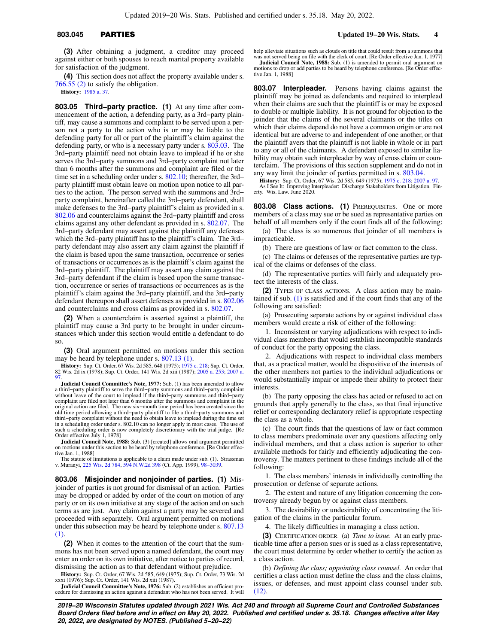**(3)** After obtaining a judgment, a creditor may proceed against either or both spouses to reach marital property available for satisfaction of the judgment.

**(4)** This section does not affect the property available under s. [766.55 \(2\)](https://docs-preview.legis.wisconsin.gov/document/statutes/766.55(2)) to satisfy the obligation.

**History:** [1985 a. 37.](https://docs-preview.legis.wisconsin.gov/document/acts/1985/37)

**803.05 Third−party practice. (1)** At any time after commencement of the action, a defending party, as a 3rd−party plaintiff, may cause a summons and complaint to be served upon a person not a party to the action who is or may be liable to the defending party for all or part of the plaintiff's claim against the defending party, or who is a necessary party under s. [803.03](https://docs-preview.legis.wisconsin.gov/document/statutes/803.03). The 3rd−party plaintiff need not obtain leave to implead if he or she serves the 3rd−party summons and 3rd−party complaint not later than 6 months after the summons and complaint are filed or the time set in a scheduling order under s. [802.10](https://docs-preview.legis.wisconsin.gov/document/statutes/802.10); thereafter, the 3rd− party plaintiff must obtain leave on motion upon notice to all parties to the action. The person served with the summons and 3rd− party complaint, hereinafter called the 3rd−party defendant, shall make defenses to the 3rd−party plaintiff's claim as provided in s. [802.06](https://docs-preview.legis.wisconsin.gov/document/statutes/802.06) and counterclaims against the 3rd−party plaintiff and cross claims against any other defendant as provided in s. [802.07.](https://docs-preview.legis.wisconsin.gov/document/statutes/802.07) The 3rd−party defendant may assert against the plaintiff any defenses which the 3rd−party plaintiff has to the plaintiff's claim. The 3rd− party defendant may also assert any claim against the plaintiff if the claim is based upon the same transaction, occurrence or series of transactions or occurrences as is the plaintiff's claim against the 3rd−party plaintiff. The plaintiff may assert any claim against the 3rd−party defendant if the claim is based upon the same transaction, occurrence or series of transactions or occurrences as is the plaintiff's claim against the 3rd−party plaintiff, and the 3rd−party defendant thereupon shall assert defenses as provided in s. [802.06](https://docs-preview.legis.wisconsin.gov/document/statutes/802.06) and counterclaims and cross claims as provided in s. [802.07.](https://docs-preview.legis.wisconsin.gov/document/statutes/802.07)

**(2)** When a counterclaim is asserted against a plaintiff, the plaintiff may cause a 3rd party to be brought in under circumstances which under this section would entitle a defendant to do so.

**(3)** Oral argument permitted on motions under this section may be heard by telephone under s. [807.13 \(1\)](https://docs-preview.legis.wisconsin.gov/document/statutes/807.13(1)).

**History:** Sup. Ct. Order, 67 Wis. 2d 585, 648 (1975); [1975 c. 218](https://docs-preview.legis.wisconsin.gov/document/acts/1975/218); Sup. Ct. Order, 82 Wis. 2d ix (1978); Sup. Ct. Order, 141 Wis. 2d xiii (1987); [2005 a. 253;](https://docs-preview.legis.wisconsin.gov/document/acts/2005/253) [2007 a.](https://docs-preview.legis.wisconsin.gov/document/acts/2007/97) [97.](https://docs-preview.legis.wisconsin.gov/document/acts/2007/97)

**Judicial Council Committee's Note, 1977:** Sub. (1) has been amended to allow a third−party plaintiff to serve the third−party summons and third−party complaint without leave of the court to implead if the third−party summons and third−party complaint are filed not later than 6 months after the summons and complaint in the original action are filed. The new six−month time period has been created since the old time period allowing a third−party plaintiff to file a third−party summons and third−party complaint without the need to obtain leave to implead during the time set in a scheduling order under s. 802.10 can no longer apply in most cases. The use of such a scheduling order is now completely discretionary with the trial judge. [Re Order effective July 1, 1978]

**Judicial Council Note, 1988:** Sub. (3) [created] allows oral argument permitted on motions under this section to be heard by telephone conference. [Re Order effec-tive Jan. 1, 1988]

The statute of limitations is applicable to a claim made under sub. (1). Strassman v. Muranyi, [225 Wis. 2d 784](https://docs-preview.legis.wisconsin.gov/document/courts/225%20Wis.%202d%20784), [594 N.W.2d 398](https://docs-preview.legis.wisconsin.gov/document/courts/594%20N.W.2d%20398) (Ct. App. 1999), [98−3039.](https://docs-preview.legis.wisconsin.gov/document/wicourtofappeals/98-3039)

**803.06 Misjoinder and nonjoinder of parties. (1)** Misjoinder of parties is not ground for dismissal of an action. Parties may be dropped or added by order of the court on motion of any party or on its own initiative at any stage of the action and on such terms as are just. Any claim against a party may be severed and proceeded with separately. Oral argument permitted on motions under this subsection may be heard by telephone under s. [807.13](https://docs-preview.legis.wisconsin.gov/document/statutes/807.13(1)) [\(1\)](https://docs-preview.legis.wisconsin.gov/document/statutes/807.13(1)).

**(2)** When it comes to the attention of the court that the summons has not been served upon a named defendant, the court may enter an order on its own initiative, after notice to parties of record, dismissing the action as to that defendant without prejudice.

**History:** Sup. Ct. Order, 67 Wis. 2d 585, 649 (1975); Sup. Ct. Order, 73 Wis. 2d xxxi (1976); Sup. Ct. Order, 141 Wis. 2d xiii (1987).

**Judicial Council Committee's Note, 1976:** Sub. (2) establishes an efficient procedure for dismissing an action against a defendant who has not been served. It will

## **803.045** PARTIES **Updated 19−20 Wis. Stats. 4**

help alleviate situations such as clouds on title that could result from a summons that was not served being on file with the clerk of court. [Re Order effective Jan. 1, 1977] **Judicial Council Note, 1988:** Sub. (1) is amended to permit oral argument on motions to drop or add parties to be heard by telephone conference. [Re Order effective Jan. 1, 1988]

**803.07 Interpleader.** Persons having claims against the plaintiff may be joined as defendants and required to interplead when their claims are such that the plaintiff is or may be exposed to double or multiple liability. It is not ground for objection to the joinder that the claims of the several claimants or the titles on which their claims depend do not have a common origin or are not identical but are adverse to and independent of one another, or that the plaintiff avers that the plaintiff is not liable in whole or in part to any or all of the claimants. A defendant exposed to similar liability may obtain such interpleader by way of cross claim or counterclaim. The provisions of this section supplement and do not in any way limit the joinder of parties permitted in s. [803.04.](https://docs-preview.legis.wisconsin.gov/document/statutes/803.04)

**History:** Sup. Ct. Order, 67 Wis. 2d 585, 649 (1975); [1975 c. 218](https://docs-preview.legis.wisconsin.gov/document/acts/1975/218); [2007 a. 97.](https://docs-preview.legis.wisconsin.gov/document/acts/2007/97) As I See It: Improving Interpleader: Discharge Stakeholders from Litigation. Finerty. Wis. Law. June 2020.

**803.08 Class actions. (1)** PREREQUISITES. One or more members of a class may sue or be sued as representative parties on behalf of all members only if the court finds all of the following:

(a) The class is so numerous that joinder of all members is impracticable.

(b) There are questions of law or fact common to the class.

(c) The claims or defenses of the representative parties are typical of the claims or defenses of the class.

(d) The representative parties will fairly and adequately protect the interests of the class.

**(2)** TYPES OF CLASS ACTIONS. A class action may be maintained if sub. [\(1\)](https://docs-preview.legis.wisconsin.gov/document/statutes/803.08(1)) is satisfied and if the court finds that any of the following are satisfied:

(a) Prosecuting separate actions by or against individual class members would create a risk of either of the following:

1. Inconsistent or varying adjudications with respect to individual class members that would establish incompatible standards of conduct for the party opposing the class.

2. Adjudications with respect to individual class members that, as a practical matter, would be dispositive of the interests of the other members not parties to the individual adjudications or would substantially impair or impede their ability to protect their interests.

(b) The party opposing the class has acted or refused to act on grounds that apply generally to the class, so that final injunctive relief or corresponding declaratory relief is appropriate respecting the class as a whole.

(c) The court finds that the questions of law or fact common to class members predominate over any questions affecting only individual members, and that a class action is superior to other available methods for fairly and efficiently adjudicating the controversy. The matters pertinent to these findings include all of the following:

1. The class members' interests in individually controlling the prosecution or defense of separate actions.

2. The extent and nature of any litigation concerning the controversy already begun by or against class members.

3. The desirability or undesirability of concentrating the litigation of the claims in the particular forum.

4. The likely difficulties in managing a class action.

**(3)** CERTIFICATION ORDER. (a) *Time to issue.* At an early practicable time after a person sues or is sued as a class representative, the court must determine by order whether to certify the action as a class action.

(b) *Defining the class; appointing class counsel.* An order that certifies a class action must define the class and the class claims, issues, or defenses, and must appoint class counsel under sub. [\(12\)](https://docs-preview.legis.wisconsin.gov/document/statutes/803.08(12)).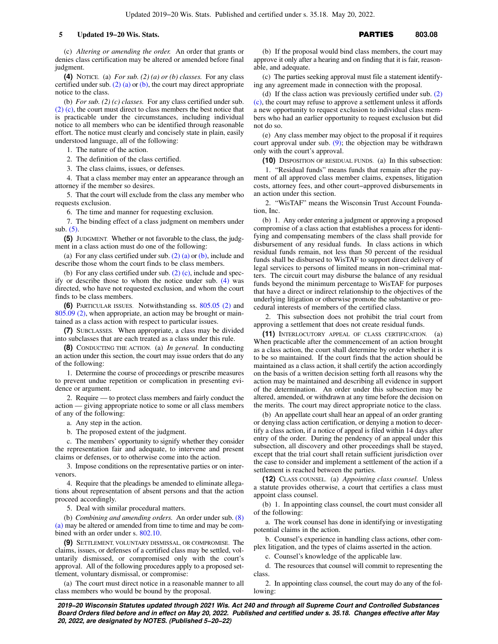### **5 Updated 19−20 Wis. Stats.** PARTIES **803.08**

(c) *Altering or amending the order.* An order that grants or denies class certification may be altered or amended before final judgment.

**(4)** NOTICE. (a) *For sub. (2) (a) or (b) classes.* For any class certified under sub.  $(2)$  (a) or [\(b\)](https://docs-preview.legis.wisconsin.gov/document/statutes/803.08(2)(b)), the court may direct appropriate notice to the class.

(b) *For sub. (2) (c) classes.* For any class certified under sub. [\(2\) \(c\)](https://docs-preview.legis.wisconsin.gov/document/statutes/803.08(2)(c)), the court must direct to class members the best notice that is practicable under the circumstances, including individual notice to all members who can be identified through reasonable effort. The notice must clearly and concisely state in plain, easily understood language, all of the following:

1. The nature of the action.

2. The definition of the class certified.

3. The class claims, issues, or defenses.

4. That a class member may enter an appearance through an attorney if the member so desires.

5. That the court will exclude from the class any member who requests exclusion.

6. The time and manner for requesting exclusion.

7. The binding effect of a class judgment on members under sub. [\(5\)](https://docs-preview.legis.wisconsin.gov/document/statutes/803.08(5)).

**(5)** JUDGMENT. Whether or not favorable to the class, the judgment in a class action must do one of the following:

(a) For any class certified under sub.  $(2)$  (a) or [\(b\),](https://docs-preview.legis.wisconsin.gov/document/statutes/803.08(2)(b)) include and describe those whom the court finds to be class members.

(b) For any class certified under sub. [\(2\) \(c\),](https://docs-preview.legis.wisconsin.gov/document/statutes/803.08(2)(c)) include and specify or describe those to whom the notice under sub. [\(4\)](https://docs-preview.legis.wisconsin.gov/document/statutes/803.08(4)) was directed, who have not requested exclusion, and whom the court finds to be class members.

**(6)** PARTICULAR ISSUES. Notwithstanding ss. [805.05 \(2\)](https://docs-preview.legis.wisconsin.gov/document/statutes/805.05(2)) and [805.09 \(2\)](https://docs-preview.legis.wisconsin.gov/document/statutes/805.09(2)), when appropriate, an action may be brought or maintained as a class action with respect to particular issues.

**(7)** SUBCLASSES. When appropriate, a class may be divided into subclasses that are each treated as a class under this rule.

**(8)** CONDUCTING THE ACTION. (a) *In general.* In conducting an action under this section, the court may issue orders that do any of the following:

1. Determine the course of proceedings or prescribe measures to prevent undue repetition or complication in presenting evidence or argument.

2. Require — to protect class members and fairly conduct the action — giving appropriate notice to some or all class members of any of the following:

a. Any step in the action.

b. The proposed extent of the judgment.

c. The members' opportunity to signify whether they consider the representation fair and adequate, to intervene and present claims or defenses, or to otherwise come into the action.

3. Impose conditions on the representative parties or on intervenors.

4. Require that the pleadings be amended to eliminate allegations about representation of absent persons and that the action proceed accordingly.

5. Deal with similar procedural matters.

(b) *Combining and amending orders.* An order under sub. [\(8\)](https://docs-preview.legis.wisconsin.gov/document/statutes/803.08(8)(a)) [\(a\)](https://docs-preview.legis.wisconsin.gov/document/statutes/803.08(8)(a)) may be altered or amended from time to time and may be combined with an order under s. [802.10.](https://docs-preview.legis.wisconsin.gov/document/statutes/802.10)

**(9)** SETTLEMENT, VOLUNTARY DISMISSAL, OR COMPROMISE. The claims, issues, or defenses of a certified class may be settled, voluntarily dismissed, or compromised only with the court's approval. All of the following procedures apply to a proposed settlement, voluntary dismissal, or compromise:

(a) The court must direct notice in a reasonable manner to all class members who would be bound by the proposal.

(b) If the proposal would bind class members, the court may approve it only after a hearing and on finding that it is fair, reasonable, and adequate.

(c) The parties seeking approval must file a statement identifying any agreement made in connection with the proposal.

(d) If the class action was previously certified under sub. [\(2\)](https://docs-preview.legis.wisconsin.gov/document/statutes/803.08(2)(c)) [\(c\)](https://docs-preview.legis.wisconsin.gov/document/statutes/803.08(2)(c)), the court may refuse to approve a settlement unless it affords a new opportunity to request exclusion to individual class members who had an earlier opportunity to request exclusion but did not do so.

(e) Any class member may object to the proposal if it requires court approval under sub. [\(9\);](https://docs-preview.legis.wisconsin.gov/document/statutes/803.08(9)) the objection may be withdrawn only with the court's approval.

**(10)** DISPOSITION OF RESIDUAL FUNDS. (a) In this subsection:

1. "Residual funds" means funds that remain after the payment of all approved class member claims, expenses, litigation costs, attorney fees, and other court−approved disbursements in an action under this section.

2. "WisTAF" means the Wisconsin Trust Account Foundation, Inc.

(b) 1. Any order entering a judgment or approving a proposed compromise of a class action that establishes a process for identifying and compensating members of the class shall provide for disbursement of any residual funds. In class actions in which residual funds remain, not less than 50 percent of the residual funds shall be disbursed to WisTAF to support direct delivery of legal services to persons of limited means in non−criminal matters. The circuit court may disburse the balance of any residual funds beyond the minimum percentage to WisTAF for purposes that have a direct or indirect relationship to the objectives of the underlying litigation or otherwise promote the substantive or procedural interests of members of the certified class.

2. This subsection does not prohibit the trial court from approving a settlement that does not create residual funds.

**(11)** INTERLOCUTORY APPEAL OF CLASS CERTIFICATION. (a) When practicable after the commencement of an action brought as a class action, the court shall determine by order whether it is to be so maintained. If the court finds that the action should be maintained as a class action, it shall certify the action accordingly on the basis of a written decision setting forth all reasons why the action may be maintained and describing all evidence in support of the determination. An order under this subsection may be altered, amended, or withdrawn at any time before the decision on the merits. The court may direct appropriate notice to the class.

(b) An appellate court shall hear an appeal of an order granting or denying class action certification, or denying a motion to decertify a class action, if a notice of appeal is filed within 14 days after entry of the order. During the pendency of an appeal under this subsection, all discovery and other proceedings shall be stayed, except that the trial court shall retain sufficient jurisdiction over the case to consider and implement a settlement of the action if a settlement is reached between the parties.

**(12)** CLASS COUNSEL. (a) *Appointing class counsel.* Unless a statute provides otherwise, a court that certifies a class must appoint class counsel.

(b) 1. In appointing class counsel, the court must consider all of the following:

a. The work counsel has done in identifying or investigating potential claims in the action.

b. Counsel's experience in handling class actions, other complex litigation, and the types of claims asserted in the action.

c. Counsel's knowledge of the applicable law.

d. The resources that counsel will commit to representing the class.

2. In appointing class counsel, the court may do any of the following: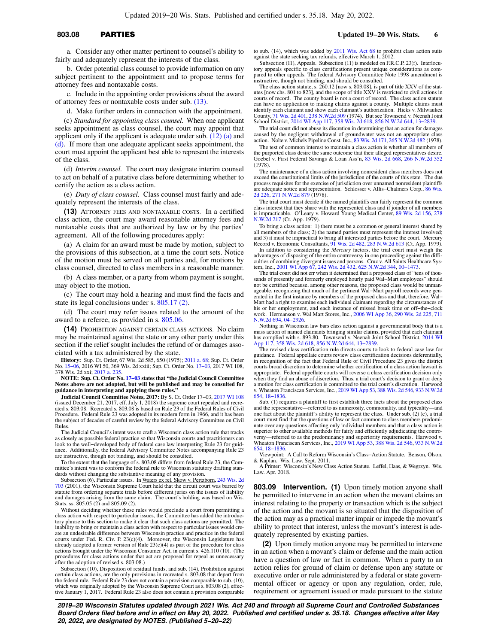a. Consider any other matter pertinent to counsel's ability to fairly and adequately represent the interests of the class.

b. Order potential class counsel to provide information on any subject pertinent to the appointment and to propose terms for attorney fees and nontaxable costs.

c. Include in the appointing order provisions about the award of attorney fees or nontaxable costs under sub. [\(13\).](https://docs-preview.legis.wisconsin.gov/document/statutes/803.08(13))

d. Make further orders in connection with the appointment.

(c) *Standard for appointing class counsel.* When one applicant seeks appointment as class counsel, the court may appoint that applicant only if the applicant is adequate under sub. [\(12\) \(a\)](https://docs-preview.legis.wisconsin.gov/document/statutes/803.08(12)(a)) and [\(d\)](https://docs-preview.legis.wisconsin.gov/document/statutes/803.08(12)(d)). If more than one adequate applicant seeks appointment, the court must appoint the applicant best able to represent the interests of the class.

(d) *Interim counsel.* The court may designate interim counsel to act on behalf of a putative class before determining whether to certify the action as a class action.

(e) *Duty of class counsel.* Class counsel must fairly and adequately represent the interests of the class.

**(13)** ATTORNEY FEES AND NONTAXABLE COSTS. In a certified class action, the court may award reasonable attorney fees and nontaxable costs that are authorized by law or by the parties' agreement. All of the following procedures apply:

(a) A claim for an award must be made by motion, subject to the provisions of this subsection, at a time the court sets. Notice of the motion must be served on all parties and, for motions by class counsel, directed to class members in a reasonable manner.

(b) A class member, or a party from whom payment is sought, may object to the motion.

(c) The court may hold a hearing and must find the facts and state its legal conclusions under s. [805.17 \(2\).](https://docs-preview.legis.wisconsin.gov/document/statutes/805.17(2))

(d) The court may refer issues related to the amount of the award to a referee, as provided in s. [805.06.](https://docs-preview.legis.wisconsin.gov/document/statutes/805.06)

**(14)** PROHIBITION AGAINST CERTAIN CLASS ACTIONS. No claim may be maintained against the state or any other party under this section if the relief sought includes the refund of or damages associated with a tax administered by the state.

**History:** Sup. Ct. Order, 67 Wis. 2d 585, 650 (1975); [2011 a. 68;](https://docs-preview.legis.wisconsin.gov/document/acts/2011/68) Sup. Ct. Order No. 15–06, 2016 WI 50, 369 Wis. 2d xxiii; Sup. Ct. Order No. 17–03, 2017 WI 108,<br>378 Wis. 2d xxi; [2017 a. 235.](https://docs-preview.legis.wisconsin.gov/document/acts/2017/235)

**NOTE: Sup. Ct. Order No. [17−03](https://docs-preview.legis.wisconsin.gov/document/sco/17-03) states that "the Judicial Council Committee Notes above are not adopted, but will be published and may be consulted for guidance in interpreting and applying these rules."**

**Judicial Council Committee Notes, 2017:** By S. Ct. Order 17−03, [2017 WI 108](https://docs-preview.legis.wisconsin.gov/document/courts/2017%20WI%20108) (issued December 21, 2017, eff. July 1, 2018) the supreme court repealed and recre-ated s. 803.08. Recreated s. 803.08 is based on Rule 23 of the Federal Rules of Civil Procedure. Federal Rule 23 was adopted in its modern form in 1966, and it has been the subject of decades of careful review by the federal Advisory Committee on Civil Rules.

The Judicial Council's intent was to craft a Wisconsin class action rule that tracks as closely as possible federal practice so that Wisconsin courts and practitioners can look to the well−developed body of federal case law interpreting Rule 23 for guidance. Additionally, the federal Advisory Committee Notes accompanying Rule 23 are instructive, though not binding, and should be consulted.

To the extent that the language of s. 803.08 differs from federal Rule 23, the Committee's intent was to conform the federal rule to Wisconsin statutory drafting standards without changing the substantive meaning of any provision.

Subsection (6), Particular issues. In Waters ex rel. Skow v. Pertzborn, [243 Wis. 2d](https://docs-preview.legis.wisconsin.gov/document/courts/243%20Wis.%202d%20703) [703](https://docs-preview.legis.wisconsin.gov/document/courts/243%20Wis.%202d%20703) (2001), the Wisconsin Supreme Court held that the circuit court was barred by statute from ordering separate trials before different juries on the issues of liability and damages arising from the same claim. The court's holding was based on Wis. Stats. ss. 805.05 (2) and 805.09 (2).

Without deciding whether these rules would preclude a court from permitting a class action with respect to particular issues, the Committee has added the introduc-tory phrase to this section to make it clear that such class actions are permitted. The inability to bring or maintain a class action with respect to particular issues would cre-ate an undesirable difference between Wisconsin practice and practice in the federal courts under Fed. R. Civ. P. 23(c)(4). Moreover, the Wisconsin Legislature has already adopted a former version of Rule  $23(c)(4)$  as part of the procedure for class actions brought under the Wisconsin Consumer Act, in current s. 426.110 (10). (The procedures for class actions under that act are proposed for repeal as unnecessary after the adoption of revised s. 803.08.)

Subsection (10), Disposition of residual funds, and sub. (14), Prohibition against certain class actions, are the only provisions in recreated s. 803.08 that depart from the federal rule. Federal Rule 23 does not contain a provision comparable to sub. (10), which was originally adopted by the Wisconsin Supreme Court as s. 803.08 (2), effective January 1, 2017. Federal Rule 23 also does not contain a provision comparable to sub. (14), which was added by [2011 Wis. Act 68](https://docs-preview.legis.wisconsin.gov/document/acts/2011/68) to prohibit class action suits against the state seeking tax refunds, effective March 1, 2012.

Subsection (11), Appeals. Subsection (11) is modeled on F.R.C.P. 23(f). Interlocutory appeals specific to class certifications present unique considerations as compared to other appeals. The federal Advisory Committee Note 1998 amendment is instructive, though not binding, and should be consulted. The class action statute, s. 260.12 [now s. 803.08], is part of title XXV of the stat-

utes [now chs. 801 to 823], and the scope of title XXV is restricted to civil actions in courts of record. The county board is not a court of record. The class action statute can have no application to making claims against a county. Multiple claims must identify each claimant and show each claimant's authorization. Hicks v. Milwaukee County, [71 Wis. 2d 401,](https://docs-preview.legis.wisconsin.gov/document/courts/71%20Wis.%202d%20401) [238 N.W.2d 509](https://docs-preview.legis.wisconsin.gov/document/courts/238%20N.W.2d%20509) (1974). But see Townsend v. Neenah Joint School District, [2014 WI App 117](https://docs-preview.legis.wisconsin.gov/document/courts/2014%20WI%20App%20117), [358 Wis. 2d 618,](https://docs-preview.legis.wisconsin.gov/document/courts/358%20Wis.%202d%20618) [856 N.W.2d 644](https://docs-preview.legis.wisconsin.gov/document/courts/856%20N.W.2d%20644), [13−2839.](https://docs-preview.legis.wisconsin.gov/document/wicourtofappeals/13-2839)

The trial court did not abuse its discretion in determining that an action for damages caused by the negligent withdrawal of groundwater was not an appropriate class action. Nolte v. Michels Pipeline Const. Inc., [83 Wis. 2d 171](https://docs-preview.legis.wisconsin.gov/document/courts/83%20Wis.%202d%20171), [265 N.W.2d 482](https://docs-preview.legis.wisconsin.gov/document/courts/265%20N.W.2d%20482) (1978).

The test of common interest to maintain a class action is whether all members of the purported class desire the same outcome that their alleged representatives desire. Goebel v. First Federal Savings & Loan Ass'n, [83 Wis. 2d 668](https://docs-preview.legis.wisconsin.gov/document/courts/83%20Wis.%202d%20668), [266 N.W.2d 352](https://docs-preview.legis.wisconsin.gov/document/courts/266%20N.W.2d%20352) (1978).

The maintenance of a class action involving nonresident class members does not exceed the constitutional limits of the jurisdiction of the courts of this state. The due process requisites for the exercise of jurisdiction over unnamed nonresident plaintiffs are adequate notice and representation. Schlosser v. Allis–Chalmers Corp., [86 Wis.](https://docs-preview.legis.wisconsin.gov/document/courts/86%20Wis.%202d%20226) [2d 226](https://docs-preview.legis.wisconsin.gov/document/courts/86%20Wis.%202d%20226), [271 N.W.2d 879](https://docs-preview.legis.wisconsin.gov/document/courts/271%20N.W.2d%20879) (1978).

The trial court must decide if the named plaintiffs can fairly represent the common class interest that they share with the represented class and if joinder of all members is impracticable. O'Leary v. Howard Young Medical Center, [89 Wis. 2d 156](https://docs-preview.legis.wisconsin.gov/document/courts/89%20Wis.%202d%20156), [278](https://docs-preview.legis.wisconsin.gov/document/courts/278%20N.W.2d%20217) [N.W.2d 217](https://docs-preview.legis.wisconsin.gov/document/courts/278%20N.W.2d%20217) (Ct. App. 1979).

To bring a class action: 1) there must be a common or general interest shared by all members of the class; 2) the named parties must represent the interest involved; and 3) it must be impractical to bring all interested parties before the court. Mercury Record v. Economic Consultants, [91 Wis. 2d 482](https://docs-preview.legis.wisconsin.gov/document/courts/91%20Wis.%202d%20482), [283 N.W.2d 613](https://docs-preview.legis.wisconsin.gov/document/courts/283%20N.W.2d%20613) (Ct. App. 1979).

In addition to considering the *Mercury* factors, the trial court must weigh the advantages of disposing of the entire controversy in one proceeding against the diffi-culties of combining divergent issues and persons. Cruz v. All Saints Healthcare System, Inc., [2001 WI App 67,](https://docs-preview.legis.wisconsin.gov/document/courts/2001%20WI%20App%2067) [242 Wis. 2d 432](https://docs-preview.legis.wisconsin.gov/document/courts/242%20Wis.%202d%20432), [625 N.W.2d 344,](https://docs-preview.legis.wisconsin.gov/document/courts/625%20N.W.2d%20344) 00–1473.<br>The trial court did not err when it determined that a proposed class

sands of presently and formerly employed hourly paid Wal−Mart employees" should not be certified because, among other reasons, the proposed class would be unmanageable, recognizing that much of the pertinent Wal−Mart payroll records were gen-erated in the first instance by members of the proposed class and that, therefore, Wal− Mart had a right to examine each individual claimant regarding the circumstances of his or her employment, and each instance of missed break time or off−the−clock work. Hermanson v. Wal Mart Stores, Inc., [2006 WI App 36,](https://docs-preview.legis.wisconsin.gov/document/courts/2006%20WI%20App%2036) [290 Wis. 2d 225,](https://docs-preview.legis.wisconsin.gov/document/courts/290%20Wis.%202d%20225) [711](https://docs-preview.legis.wisconsin.gov/document/courts/711%20N.W.2d%20694) [N.W.2d 694,](https://docs-preview.legis.wisconsin.gov/document/courts/711%20N.W.2d%20694) [04−2926.](https://docs-preview.legis.wisconsin.gov/document/wicourtofappeals/04-2926)

Nothing in Wisconsin law bars class action against a governmental body that is a mass action of named claimants bringing similar claims, provided that each claimant has complied with s. 893.80. Townsend v. Neenah Joint School District, [2014 WI](https://docs-preview.legis.wisconsin.gov/document/courts/2014%20WI%20App%20117) [App 117](https://docs-preview.legis.wisconsin.gov/document/courts/2014%20WI%20App%20117), [358 Wis. 2d 618,](https://docs-preview.legis.wisconsin.gov/document/courts/358%20Wis.%202d%20618) [856 N.W.2d 644](https://docs-preview.legis.wisconsin.gov/document/courts/856%20N.W.2d%20644), [13−2839](https://docs-preview.legis.wisconsin.gov/document/wicourtofappeals/13-2839).

The revised class certification rule directs courts to look to federal case law for guidance. Federal appellate courts review class certification decisions deferentially, in recognition of the fact that Federal Rule of Civil Procedure 23 gives the district courts broad discretion to determine whether certification of a class action lawsuit is appropriate. Federal appellate courts will reverse a class certification decision only when they find an abuse of discretion. Thus, a trial court's decision to grant or deny a motion for class certification is committed to the trial court's discretion. Harwood v. Wheaton Franciscan Services, Inc., [2019 WI App 53](https://docs-preview.legis.wisconsin.gov/document/courts/2019%20WI%20App%2053), [388 Wis. 2d 546](https://docs-preview.legis.wisconsin.gov/document/courts/388%20Wis.%202d%20546), [933 N.W.2d](https://docs-preview.legis.wisconsin.gov/document/courts/933%20N.W.2d%20654)

[654,](https://docs-preview.legis.wisconsin.gov/document/courts/933%20N.W.2d%20654) [18−1836.](https://docs-preview.legis.wisconsin.gov/document/wicourtofappeals/18-1836) Sub. (1) requires a plaintiff to first establish three facts about the proposed class and the representative—referred to as numerosity, commonality, and typicality—and one fact about the plaintiff's ability to represent the class. Under sub. (2) (c), a trial court must find that the questions of law or fact common to class members predominate over any questions affecting only individual members and that a class action is superior to other available methods for fairly and efficiently adjudicating the controversy—referred to as the predominancy and superiority requirements. Harwood v. Wheaton Franciscan Services, Inc., [2019 WI App 53](https://docs-preview.legis.wisconsin.gov/document/courts/2019%20WI%20App%2053), [388 Wis. 2d 546](https://docs-preview.legis.wisconsin.gov/document/courts/388%20Wis.%202d%20546), [933 N.W.2d](https://docs-preview.legis.wisconsin.gov/document/courts/933%20N.W.2d%20654) [654,](https://docs-preview.legis.wisconsin.gov/document/courts/933%20N.W.2d%20654) [18−1836.](https://docs-preview.legis.wisconsin.gov/document/wicourtofappeals/18-1836)

Viewpoint: A Call to Reform Wisconsin's Class−Action Statute. Benson, Olson, & Kaplan. Wis. Law. Sept. 2011.

A Primer: Wisconsin's New Class Action Statute. Leffel, Haas, & Wegrzyn. Wis. Law. Apr. 2018.

**803.09 Intervention. (1)** Upon timely motion anyone shall be permitted to intervene in an action when the movant claims an interest relating to the property or transaction which is the subject of the action and the movant is so situated that the disposition of the action may as a practical matter impair or impede the movant's ability to protect that interest, unless the movant's interest is adequately represented by existing parties.

**(2)** Upon timely motion anyone may be permitted to intervene in an action when a movant's claim or defense and the main action have a question of law or fact in common. When a party to an action relies for ground of claim or defense upon any statute or executive order or rule administered by a federal or state governmental officer or agency or upon any regulation, order, rule, requirement or agreement issued or made pursuant to the statute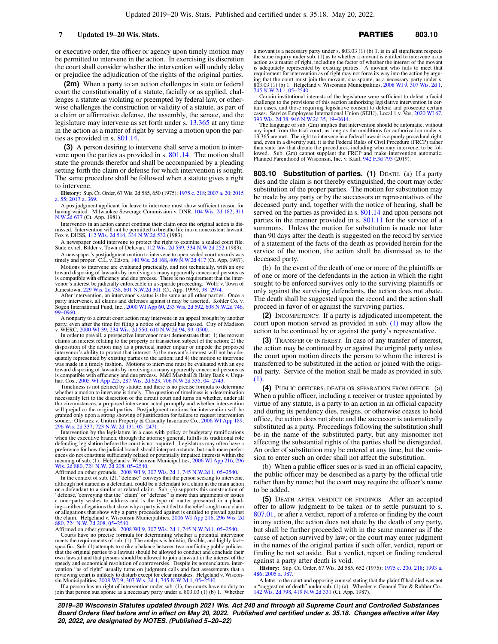### **7 Updated 19−20 Wis. Stats.** PARTIES **803.10**

or executive order, the officer or agency upon timely motion may be permitted to intervene in the action. In exercising its discretion the court shall consider whether the intervention will unduly delay or prejudice the adjudication of the rights of the original parties.

**(2m)** When a party to an action challenges in state or federal court the constitutionality of a statute, facially or as applied, challenges a statute as violating or preempted by federal law, or otherwise challenges the construction or validity of a statute, as part of a claim or affirmative defense, the assembly, the senate, and the legislature may intervene as set forth under s. [13.365](https://docs-preview.legis.wisconsin.gov/document/statutes/13.365) at any time in the action as a matter of right by serving a motion upon the parties as provided in s. [801.14](https://docs-preview.legis.wisconsin.gov/document/statutes/801.14).

**(3)** A person desiring to intervene shall serve a motion to intervene upon the parties as provided in s. [801.14](https://docs-preview.legis.wisconsin.gov/document/statutes/801.14). The motion shall state the grounds therefor and shall be accompanied by a pleading setting forth the claim or defense for which intervention is sought. The same procedure shall be followed when a statute gives a right to intervene.

**History:** Sup. Ct. Order, 67 Wis. 2d 585, 650 (1975); [1975 c. 218;](https://docs-preview.legis.wisconsin.gov/document/acts/1975/218) [2007 a. 20](https://docs-preview.legis.wisconsin.gov/document/acts/2007/20); [2015](https://docs-preview.legis.wisconsin.gov/document/acts/2015/55) [a. 55](https://docs-preview.legis.wisconsin.gov/document/acts/2015/55); [2017 a. 369](https://docs-preview.legis.wisconsin.gov/document/acts/2017/369).

A postjudgment applicant for leave to intervene must show sufficient reason for having waited. Milwaukee Sewerage Commission v. DNR, [104 Wis. 2d 182,](https://docs-preview.legis.wisconsin.gov/document/courts/104%20Wis.%202d%20182) [311](https://docs-preview.legis.wisconsin.gov/document/courts/311%20N.W.2d%20677) [N.W.2d 677](https://docs-preview.legis.wisconsin.gov/document/courts/311%20N.W.2d%20677) (Ct. App. 1981).

Intervenors in an action cannot continue their claim once the original action is dismissed. Intervention will not be permitted to breathe life into a nonexistent lawsuit. Fox v. DHSS, [112 Wis. 2d 514](https://docs-preview.legis.wisconsin.gov/document/courts/112%20Wis.%202d%20514), [334 N.W.2d 532](https://docs-preview.legis.wisconsin.gov/document/courts/334%20N.W.2d%20532) (1983).

A newspaper could intervene to protect the right to examine a sealed court file. State ex rel. Bilder v. Town of Delavan, [112 Wis. 2d 539](https://docs-preview.legis.wisconsin.gov/document/courts/112%20Wis.%202d%20539), [334 N.W.2d 252](https://docs-preview.legis.wisconsin.gov/document/courts/334%20N.W.2d%20252) (1983).

A newspaper's postjudgment motion to intervene to open sealed court records was timely and proper. C.L. v. Edson, [140 Wis. 2d 168](https://docs-preview.legis.wisconsin.gov/document/courts/140%20Wis.%202d%20168), [409 N.W.2d 417](https://docs-preview.legis.wisconsin.gov/document/courts/409%20N.W.2d%20417) (Ct. App. 1987). Motions to intervene are evaluated practically, and not technically, with an eye toward disposing of lawsuits by involving as many apparently concerned persons as is compatible with efficiency and due process. There is no requirement that the intervenor's interest be judicially enforceable in a separate proceeding. Wolff v. Town of Jamestown, [229 Wis. 2d 738](https://docs-preview.legis.wisconsin.gov/document/courts/229%20Wis.%202d%20738), [601 N.W.2d 301](https://docs-preview.legis.wisconsin.gov/document/courts/601%20N.W.2d%20301) (Ct. App. 1999), [98−2974](https://docs-preview.legis.wisconsin.gov/document/wicourtofappeals/98-2974).

After intervention, an intervenor's status is the same as all other parties. Once a party intervenes, all claims and defenses against it may be asserted. Kohler Co. v. Sogen International Fund, Inc., [2000 WI App 60,](https://docs-preview.legis.wisconsin.gov/document/courts/2000%20WI%20App%2060) [233 Wis. 2d 592,](https://docs-preview.legis.wisconsin.gov/document/courts/233%20Wis.%202d%20592) [608 N.W.2d 746](https://docs-preview.legis.wisconsin.gov/document/courts/608%20N.W.2d%20746), [99−0960](https://docs-preview.legis.wisconsin.gov/document/wicourtofappeals/99-0960).

A nonparty to a circuit court action may intervene in an appeal brought by another<br>party, even after the time for filing a notice of appeal has passed. City of Madison<br>v. WERC, [2000 WI 39](https://docs-preview.legis.wisconsin.gov/document/courts/2000%20WI%2039), [234 Wis. 2d 550](https://docs-preview.legis.wisconsin.gov/document/courts/234%20Wis.%202d%20550), [610 N.W.2d 94](https://docs-preview.legis.wisconsin.gov/document/courts/610%20N.W.2d%2094), 9

In order to prevail, a prospective intervenor must demonstrate that: 1) the movant claims an interest relating to the property or transaction subject of the action; 2) the disposition of the action may as a practical matter impair or impede the proposed intervenor's ability to protect that interest; 3) the movant's interest will not be adequately represented by existing parties to the action; and 4) the motion to intervene<br>was made in a timely fashion. Motions to intervene must be evaluated with an eye<br>toward disposing of lawsuits by involving as many appar

whether a motion to intervene is timely. The question of timeliness is a determination necessarily left to the discretion of the circuit court and turns on whether, under all the circumstances, a proposed intervenor acted promptly and whether intervention will prejudice the original parties. Postjudgment motions for intervention will be<br>granted only upon a strong showing of justification for failure to request intervention<br>sooner. Olivarez v. Unitrin Property & Casualty Ins [296 Wis. 2d 337,](https://docs-preview.legis.wisconsin.gov/document/courts/296%20Wis.%202d%20337) [723 N.W. 2d 131](https://docs-preview.legis.wisconsin.gov/document/courts/723%20N.W.%202d%20131), [05−2471](https://docs-preview.legis.wisconsin.gov/document/wicourtofappeals/05-2471).

Intervention by the legislature in a case with policy or budgetary ramifications when the executive branch, through the attorney general, fulfills its traditional role defending legislation before the court is not required. Legislators may often have a preference for how the judicial branch should interpret a statute, but such mere prefer-ences do not constitute sufficiently related or potentially impaired interests within the meaning of sub. (1). Helgeland v. Wisconsin Municipalities, [2006 WI App 216](https://docs-preview.legis.wisconsin.gov/document/courts/2006%20WI%20App%20216), [296](https://docs-preview.legis.wisconsin.gov/document/courts/296%20Wis.%202d%20880) [Wis. 2d 880,](https://docs-preview.legis.wisconsin.gov/document/courts/296%20Wis.%202d%20880) [724 N.W. 2d 208,](https://docs-preview.legis.wisconsin.gov/document/courts/724%20N.W.%202d%20208) [05−2540](https://docs-preview.legis.wisconsin.gov/document/wicourtofappeals/05-2540).

Affirmed on other grounds. [2008 WI 9](https://docs-preview.legis.wisconsin.gov/document/courts/2008%20WI%209), [307 Wis. 2d 1,](https://docs-preview.legis.wisconsin.gov/document/courts/307%20Wis.%202d%201) [745 N.W.2d 1](https://docs-preview.legis.wisconsin.gov/document/courts/745%20N.W.2d%201), 05–2540.<br>In the context of sub. (2), "defense" conveys that the person seeking to intervene, although not named as a defendant, could be a defendant to a c or a defendant to a similar or related claim. Sub. (3) supports this construction of "defense,"conveying that the "claim" or "defense" is more than arguments or issues a non−party wishes to address and is the type of matter presented in a pleading—either allegations that show why a party is entitled to the relief sought on a claim or allegations that show why a party proceeded against is entitled to prevail against the claim. Helgeland v. Wisconsin Municipalities, [2006 WI App 216](https://docs-preview.legis.wisconsin.gov/document/courts/2006%20WI%20App%20216), [296 Wis. 2d](https://docs-preview.legis.wisconsin.gov/document/courts/296%20Wis.%202d%20880) 0, [724 N.W. 2d 208,](https://docs-preview.legis.wisconsin.gov/document/courts/724%20N.W.%202d%20208) 05-2540.

Affirmed on other grounds. [2008 WI 9](https://docs-preview.legis.wisconsin.gov/document/courts/2008%20WI%209), [307 Wis. 2d 1,](https://docs-preview.legis.wisconsin.gov/document/courts/307%20Wis.%202d%201) [745 N.W.2d 1](https://docs-preview.legis.wisconsin.gov/document/courts/745%20N.W.2d%201), [05−2540.](https://docs-preview.legis.wisconsin.gov/document/wisupremecourt/05-2540) Courts have no precise formula for determining whether a potential intervenor

meets the requirements of sub. (1) The analysis is holistic, flexible, and highly fact− specific. Sub. (1) attempts to strike a balance between two conflicting public policies: that the original parties to a lawsuit should be allowed to conduct and conclude their own lawsuit and that persons should be allowed to join a lawsuit in the interest of the speedy and economical resolution of controversies. Despite its nomenclature, inter-vention "as of right" usually turns on judgment calls and fact assessments that a reviewing court is unlikely to disturb except for clear mistakes. Helgeland v. Wiscon-sin Municipalities, [2008 WI 9,](https://docs-preview.legis.wisconsin.gov/document/courts/2008%20WI%209) [307 Wis. 2d 1](https://docs-preview.legis.wisconsin.gov/document/courts/307%20Wis.%202d%201), [745 N.W.2d 1,](https://docs-preview.legis.wisconsin.gov/document/courts/745%20N.W.2d%201) [05−2540.](https://docs-preview.legis.wisconsin.gov/document/wisupremecourt/05-2540)

If a person has no right of intervention under sub. (1), the courts have no duty to join that person sua sponte as a necessary party under s. 803.03 (1) (b) 1. Whether

a movant is a necessary party under s. 803.03 (1) (b) 1. is in all significant respects the same inquiry under sub. (1) as to whether a movant is entitled to intervene in an action as a matter of right, including the factor of whether the interest of the movant is adequately represented by existing parties. A movant who fails to meet that<br>requirement for intervention as of right may not force its way into the action by argu-<br>ing that the court must join the movant, sua sponte, as 803.03 (1) (b) 1. Helgeland v. Wisconsin Municipalities, [2008 WI 9,](https://docs-preview.legis.wisconsin.gov/document/courts/2008%20WI%209) [307 Wis. 2d 1](https://docs-preview.legis.wisconsin.gov/document/courts/307%20Wis.%202d%201), [745 N.W.2d 1](https://docs-preview.legis.wisconsin.gov/document/courts/745%20N.W.2d%201), 05–25

Certain institutional interests of the legislature were sufficient to defeat a facial challenge to the provisions of this section authorizing legislative intervention in certain cases, and those requiring legislative consent to defend and prosecute certain cases. Service Employees International Union (SEIU), Local 1 v. Vos, [2020 WI 67](https://docs-preview.legis.wisconsin.gov/document/courts/2020%20WI%2067), [393 Wis. 2d 38,](https://docs-preview.legis.wisconsin.gov/document/courts/393%20Wis.%202d%2038) [946 N.W.2d 35,](https://docs-preview.legis.wisconsin.gov/document/courts/946%20N.W.2d%2035) [19−0614.](https://docs-preview.legis.wisconsin.gov/document/wisupremecourt/19-0614)

The language of sub. (2m) implies that intervention should be automatic, without any input from the trial court, as long as the conditions for authorization under s. 13.365 are met. The right to intervene in a federal lawsuit is a purely procedural right, and, even in a diversity suit, it is the Federal Rules of Civil Procedure (FRCP) rather than state law that dictate the procedures, including who may intervene, to be followed. Sub. (2m) cannot supplant the FRCP and make intervention automatic. Planned Parenthood of Wisconsin, Inc. v. Kaul, [942 F.3d 793](https://docs-preview.legis.wisconsin.gov/document/courts/942%20F.3d%20793) (2019).

**803.10 Substitution of parties. (1)** DEATH. (a) If a party dies and the claim is not thereby extinguished, the court may order substitution of the proper parties. The motion for substitution may be made by any party or by the successors or representatives of the deceased party and, together with the notice of hearing, shall be served on the parties as provided in s. [801.14](https://docs-preview.legis.wisconsin.gov/document/statutes/801.14) and upon persons not parties in the manner provided in s. [801.11](https://docs-preview.legis.wisconsin.gov/document/statutes/801.11) for the service of a summons. Unless the motion for substitution is made not later than 90 days after the death is suggested on the record by service of a statement of the facts of the death as provided herein for the service of the motion, the action shall be dismissed as to the deceased party.

(b) In the event of the death of one or more of the plaintiffs or of one or more of the defendants in the action in which the right sought to be enforced survives only to the surviving plaintiffs or only against the surviving defendants, the action does not abate. The death shall be suggested upon the record and the action shall proceed in favor of or against the surviving parties.

**(2)** INCOMPETENCY. If a party is adjudicated incompetent, the court upon motion served as provided in sub.  $(1)$  may allow the action to be continued by or against the party's representative.

**(3)** TRANSFER OF INTEREST. In case of any transfer of interest, the action may be continued by or against the original party unless the court upon motion directs the person to whom the interest is transferred to be substituted in the action or joined with the original party. Service of the motion shall be made as provided in sub. [\(1\).](https://docs-preview.legis.wisconsin.gov/document/statutes/803.10(1))

**(4)** PUBLIC OFFICERS; DEATH OR SEPARATION FROM OFFICE. (a) When a public officer, including a receiver or trustee appointed by virtue of any statute, is a party to an action in an official capacity and during its pendency dies, resigns, or otherwise ceases to hold office, the action does not abate and the successor is automatically substituted as a party. Proceedings following the substitution shall be in the name of the substituted party, but any misnomer not affecting the substantial rights of the parties shall be disregarded. An order of substitution may be entered at any time, but the omission to enter such an order shall not affect the substitution.

(b) When a public officer sues or is sued in an official capacity, the public officer may be described as a party by the official title rather than by name; but the court may require the officer's name to be added.

**(5)** DEATH AFTER VERDICT OR FINDINGS. After an accepted offer to allow judgment to be taken or to settle pursuant to s. [807.01,](https://docs-preview.legis.wisconsin.gov/document/statutes/807.01) or after a verdict, report of a referee or finding by the court in any action, the action does not abate by the death of any party, but shall be further proceeded with in the same manner as if the cause of action survived by law; or the court may enter judgment in the names of the original parties if such offer, verdict, report or finding be not set aside. But a verdict, report or finding rendered against a party after death is void.

**History:** Sup. Ct. Order, 67 Wis. 2d 585, 652 (1975); [1975 c. 200,](https://docs-preview.legis.wisconsin.gov/document/acts/1975/200) [218;](https://docs-preview.legis.wisconsin.gov/document/acts/1975/218) [1993 a.](https://docs-preview.legis.wisconsin.gov/document/acts/1993/486) [486;](https://docs-preview.legis.wisconsin.gov/document/acts/1993/486) [2005 a. 387](https://docs-preview.legis.wisconsin.gov/document/acts/2005/387).

A letter to the court and opposing counsel stating that the plaintiff had died was not "suggestion of death" under sub. (1) (a). Wheeler v. General Tire & Rubber Co., [142 Wis. 2d 798](https://docs-preview.legis.wisconsin.gov/document/courts/142%20Wis.%202d%20798), [419 N.W.2d 331](https://docs-preview.legis.wisconsin.gov/document/courts/419%20N.W.2d%20331) (Ct. App. 1987).